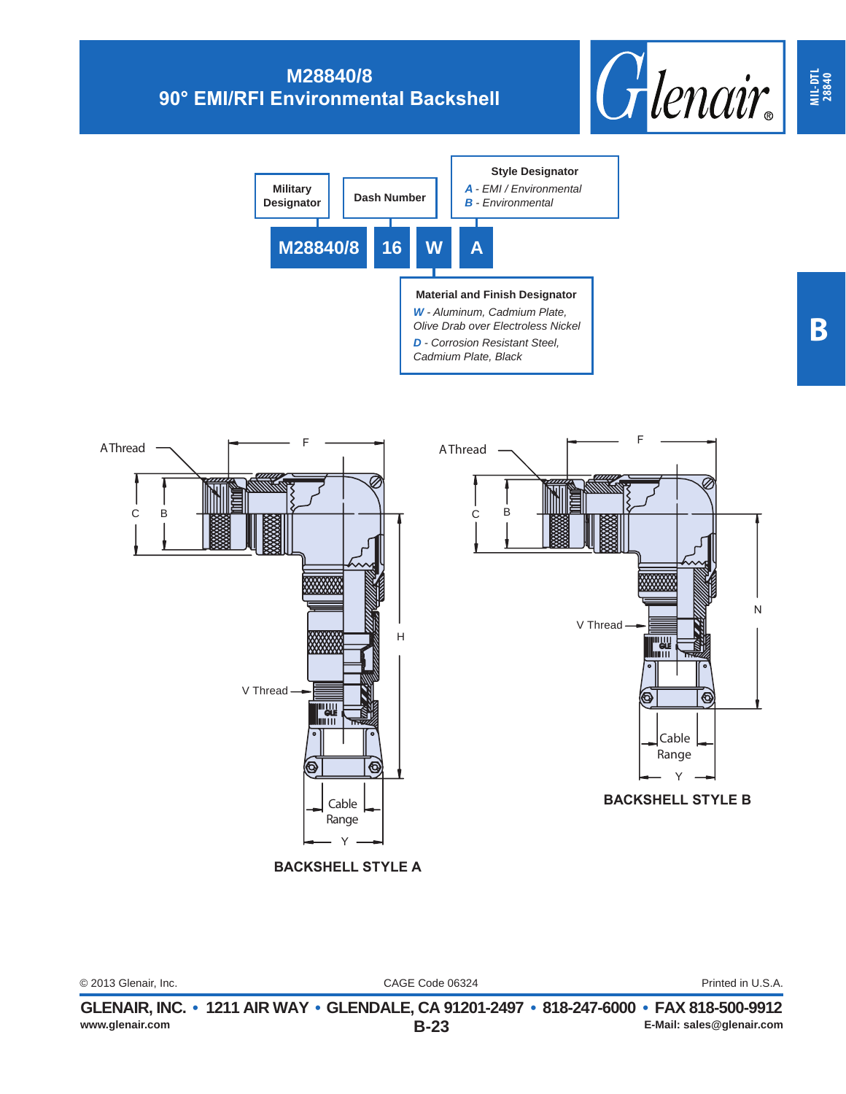



CAGE Code 06324 © 2013 Glenair, Inc. Printed in U.S.A. **MIL-DTL 28840**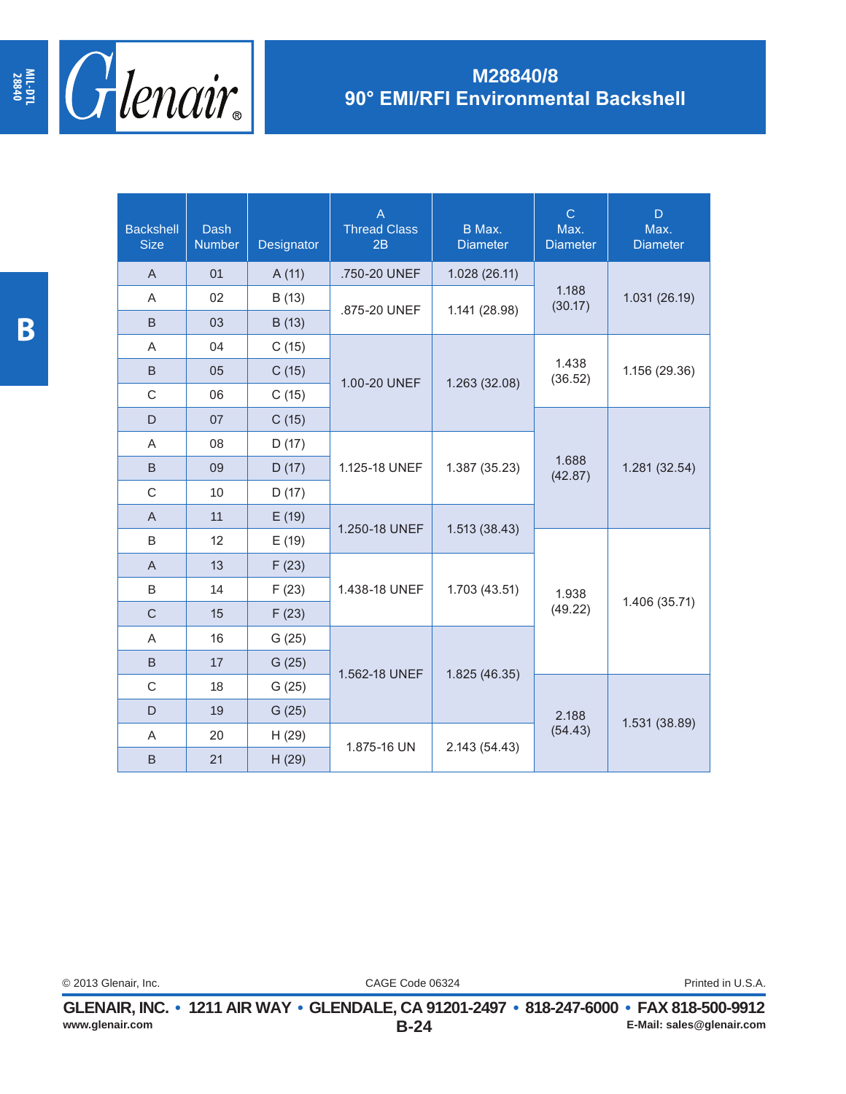

| <b>Backshell</b><br><b>Size</b> | <b>Dash</b><br><b>Number</b> | Designator | $\overline{A}$<br><b>Thread Class</b><br>2B | B Max.<br><b>Diameter</b> | $\mathsf{C}$<br>Max.<br><b>Diameter</b> | D<br>Max.<br><b>Diameter</b> |
|---------------------------------|------------------------------|------------|---------------------------------------------|---------------------------|-----------------------------------------|------------------------------|
| $\mathsf{A}$                    | 01                           | A(11)      | .750-20 UNEF                                | 1.028 (26.11)             |                                         |                              |
| A                               | 02                           | B (13)     | .875-20 UNEF                                | 1.141 (28.98)             | 1.188<br>(30.17)                        | 1.031 (26.19)                |
| B                               | 03                           | B (13)     |                                             |                           |                                         |                              |
| A                               | 04                           | C(15)      |                                             |                           |                                         |                              |
| B                               | 05                           | C(15)      | 1.00-20 UNEF                                | 1.263 (32.08)             | 1.438<br>(36.52)                        | 1.156 (29.36)                |
| C                               | 06                           | C(15)      |                                             |                           |                                         |                              |
| D                               | 07                           | C(15)      |                                             |                           |                                         |                              |
| A                               | 08                           | D(17)      |                                             | 1.387 (35.23)             | 1.688<br>(42.87)                        | 1.281(32.54)                 |
| B                               | 09                           | D(17)      | 1.125-18 UNEF                               |                           |                                         |                              |
| C                               | 10                           | D(17)      |                                             |                           |                                         |                              |
| $\overline{A}$                  | 11                           | E(19)      |                                             |                           |                                         |                              |
| B                               | 12                           | E(19)      | 1.250-18 UNEF                               | 1.513(38.43)              |                                         |                              |
| $\overline{A}$                  | 13                           | F(23)      |                                             | 1.703 (43.51)             | 1.938<br>(49.22)                        | 1.406 (35.71)                |
| B                               | 14                           | F(23)      | 1.438-18 UNEF                               |                           |                                         |                              |
| $\mathsf{C}$                    | 15                           | F(23)      |                                             |                           |                                         |                              |
| A                               | 16                           | G(25)      |                                             | 1.825 (46.35)             |                                         |                              |
| B                               | 17                           | G(25)      |                                             |                           |                                         |                              |
| $\mathsf C$                     | 18                           | G(25)      | 1.562-18 UNEF                               |                           | 2.188<br>(54.43)                        | 1.531 (38.89)                |
| D                               | 19                           | G(25)      |                                             |                           |                                         |                              |
| A                               | 20                           | H(29)      |                                             |                           |                                         |                              |
| B                               | 21                           | H(29)      | 1.875-16 UN                                 | 2.143 (54.43)             |                                         |                              |

CAGE Code 06324 © 2013 Glenair, Inc. Printed in U.S.A.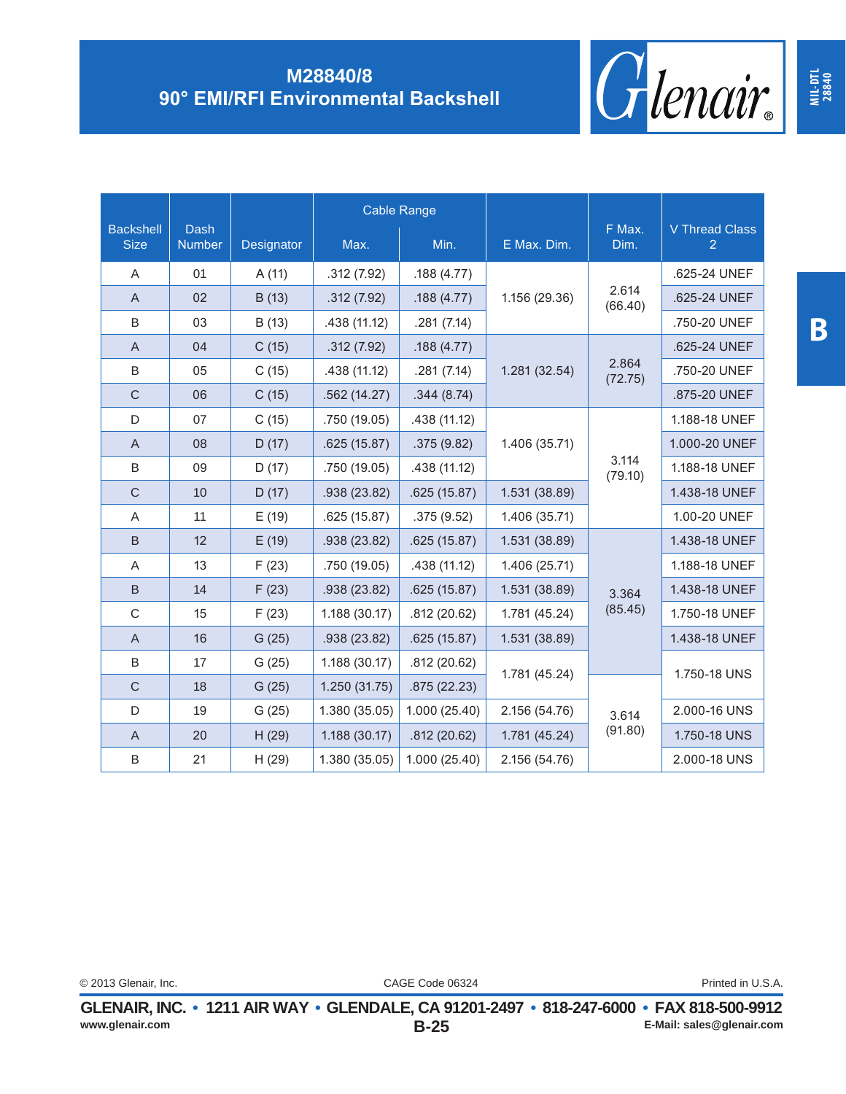

|                                 |                              |            | <b>Cable Range</b> |               |               |                  |                            |
|---------------------------------|------------------------------|------------|--------------------|---------------|---------------|------------------|----------------------------|
| <b>Backshell</b><br><b>Size</b> | <b>Dash</b><br><b>Number</b> | Designator | Max.               | Min.          | E Max. Dim.   | F Max.<br>Dim.   | <b>V Thread Class</b><br>2 |
| Α                               | 01                           | A(11)      | .312(7.92)         | .188(4.77)    |               |                  | .625-24 UNEF               |
| A                               | 02                           | B (13)     | .312(7.92)         | .188(4.77)    | 1.156 (29.36) | 2.614<br>(66.40) | .625-24 UNEF               |
| $\sf B$                         | 03                           | B (13)     | .438 (11.12)       | .281(7.14)    |               |                  | .750-20 UNEF               |
| $\mathsf{A}$                    | 04                           | C(15)      | .312(7.92)         | .188(4.77)    |               |                  | .625-24 UNEF               |
| $\sf B$                         | 05                           | C(15)      | .438 (11.12)       | .281(7.14)    | 1.281 (32.54) | 2.864<br>(72.75) | .750-20 UNEF               |
| $\mathsf{C}$                    | 06                           | C(15)      | .562(14.27)        | .344(8.74)    |               |                  | .875-20 UNEF               |
| D                               | 07                           | C(15)      | .750 (19.05)       | .438 (11.12)  |               |                  | 1.188-18 UNEF              |
| $\mathsf{A}$                    | 08                           | D(17)      | .625(15.87)        | .375(9.82)    | 1.406 (35.71) |                  | 1.000-20 UNEF              |
| B                               | 09                           | D(17)      | .750 (19.05)       | .438 (11.12)  |               | 3.114<br>(79.10) | 1.188-18 UNEF              |
| $\mathsf C$                     | 10                           | D(17)      | .938 (23.82)       | .625(15.87)   | 1.531 (38.89) |                  | 1.438-18 UNEF              |
| A                               | 11                           | E(19)      | .625(15.87)        | .375(9.52)    | 1.406 (35.71) |                  | 1.00-20 UNEF               |
| B                               | 12                           | E(19)      | .938 (23.82)       | .625(15.87)   | 1.531 (38.89) |                  | 1.438-18 UNEF              |
| Α                               | 13                           | F(23)      | .750 (19.05)       | .438 (11.12)  | 1.406 (25.71) |                  | 1.188-18 UNEF              |
| B                               | 14                           | F(23)      | .938 (23.82)       | .625(15.87)   | 1.531 (38.89) | 3.364            | 1.438-18 UNEF              |
| $\mathsf C$                     | 15                           | F(23)      | 1.188 (30.17)      | .812(20.62)   | 1.781 (45.24) | (85.45)          | 1.750-18 UNEF              |
| $\mathsf{A}$                    | 16                           | G(25)      | .938 (23.82)       | .625(15.87)   | 1.531 (38.89) |                  | 1.438-18 UNEF              |
| B                               | 17                           | G(25)      | 1.188 (30.17)      | .812(20.62)   | 1.781 (45.24) |                  | 1.750-18 UNS               |
| $\mathsf C$                     | 18                           | G(25)      | 1.250(31.75)       | .875(22.23)   |               |                  |                            |
| D                               | 19                           | G(25)      | 1.380 (35.05)      | 1.000 (25.40) | 2.156 (54.76) | 3.614            | 2.000-16 UNS               |
| A                               | 20                           | H(29)      | 1.188 (30.17)      | .812(20.62)   | 1.781 (45.24) | (91.80)          | 1.750-18 UNS               |
| B                               | 21                           | H(29)      | 1.380 (35.05)      | 1.000 (25.40) | 2.156 (54.76) |                  | 2.000-18 UNS               |

**MIL-DTL 28840**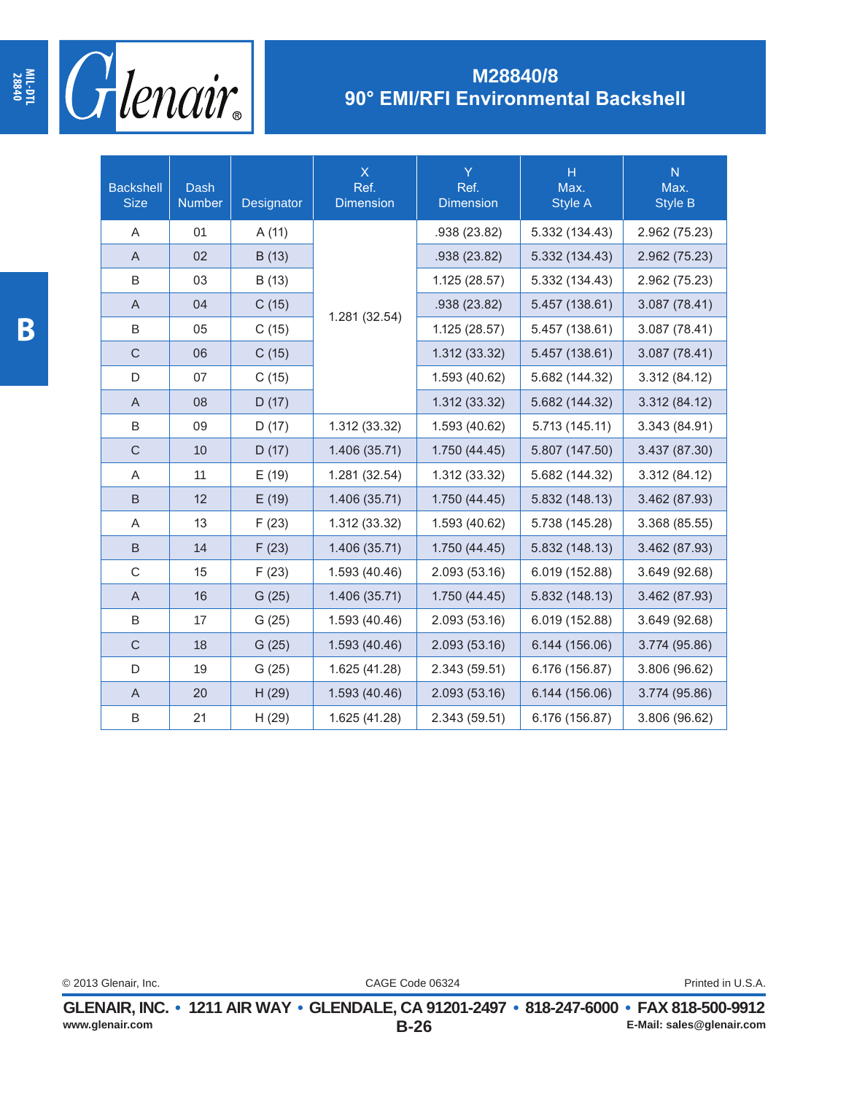

| <b>Backshell</b><br><b>Size</b> | <b>Dash</b><br><b>Number</b> | Designator | $\overline{\mathsf{X}}$<br>Ref.<br><b>Dimension</b> | Y<br>Ref.<br><b>Dimension</b> | $\overline{H}$<br>Max.<br><b>Style A</b> | $\overline{N}$<br>Max.<br><b>Style B</b> |
|---------------------------------|------------------------------|------------|-----------------------------------------------------|-------------------------------|------------------------------------------|------------------------------------------|
| A                               | 01                           | A (11)     |                                                     | .938 (23.82)                  | 5.332 (134.43)                           | 2.962 (75.23)                            |
| A                               | 02                           | B(13)      |                                                     | .938 (23.82)                  | 5.332 (134.43)                           | 2.962 (75.23)                            |
| B                               | 03                           | B (13)     |                                                     | 1.125 (28.57)                 | 5.332 (134.43)                           | 2.962 (75.23)                            |
| A                               | 04                           | C(15)      |                                                     | .938 (23.82)                  | 5.457 (138.61)                           | 3.087 (78.41)                            |
| B                               | 05                           | C(15)      | 1.281 (32.54)                                       | 1.125 (28.57)                 | 5.457 (138.61)                           | 3.087 (78.41)                            |
| $\mathsf{C}$                    | 06                           | C(15)      |                                                     | 1.312 (33.32)                 | 5.457 (138.61)                           | 3.087 (78.41)                            |
| D                               | 07                           | C(15)      |                                                     | 1.593 (40.62)                 | 5.682 (144.32)                           | 3.312 (84.12)                            |
| A                               | 08                           | D(17)      |                                                     | 1.312 (33.32)                 | 5.682 (144.32)                           | 3.312 (84.12)                            |
| B                               | 09                           | D(17)      | 1.312 (33.32)                                       | 1.593 (40.62)                 | 5.713 (145.11)                           | 3.343 (84.91)                            |
| $\mathsf{C}$                    | 10                           | D(17)      | 1.406 (35.71)                                       | 1.750 (44.45)                 | 5.807 (147.50)                           | 3.437 (87.30)                            |
| Α                               | 11                           | E(19)      | 1.281 (32.54)                                       | 1.312 (33.32)                 | 5.682 (144.32)                           | 3.312 (84.12)                            |
| B                               | 12                           | E(19)      | 1.406 (35.71)                                       | 1.750 (44.45)                 | 5.832 (148.13)                           | 3.462 (87.93)                            |
| Α                               | 13                           | F(23)      | 1.312 (33.32)                                       | 1.593 (40.62)                 | 5.738 (145.28)                           | 3.368 (85.55)                            |
| B                               | 14                           | F(23)      | 1.406 (35.71)                                       | 1.750 (44.45)                 | 5.832 (148.13)                           | 3.462 (87.93)                            |
| $\mathsf C$                     | 15                           | F(23)      | 1.593 (40.46)                                       | 2.093 (53.16)                 | 6.019 (152.88)                           | 3.649 (92.68)                            |
| A                               | 16                           | G(25)      | 1.406 (35.71)                                       | 1.750 (44.45)                 | 5.832 (148.13)                           | 3.462 (87.93)                            |
| B                               | 17                           | G(25)      | 1.593 (40.46)                                       | 2.093 (53.16)                 | 6.019 (152.88)                           | 3.649 (92.68)                            |
| $\mathsf{C}$                    | 18                           | G(25)      | 1.593 (40.46)                                       | 2.093 (53.16)                 | 6.144 (156.06)                           | 3.774 (95.86)                            |
| D                               | 19                           | G(25)      | 1.625 (41.28)                                       | 2.343 (59.51)                 | 6.176 (156.87)                           | 3.806 (96.62)                            |
| $\mathsf{A}$                    | 20                           | H(29)      | 1.593 (40.46)                                       | 2.093 (53.16)                 | 6.144 (156.06)                           | 3.774 (95.86)                            |
| B                               | 21                           | H(29)      | 1.625 (41.28)                                       | 2.343 (59.51)                 | 6.176 (156.87)                           | 3.806 (96.62)                            |

**MIL-DTL 28840**

CAGE Code 06324 © 2013 Glenair, Inc. Printed in U.S.A.